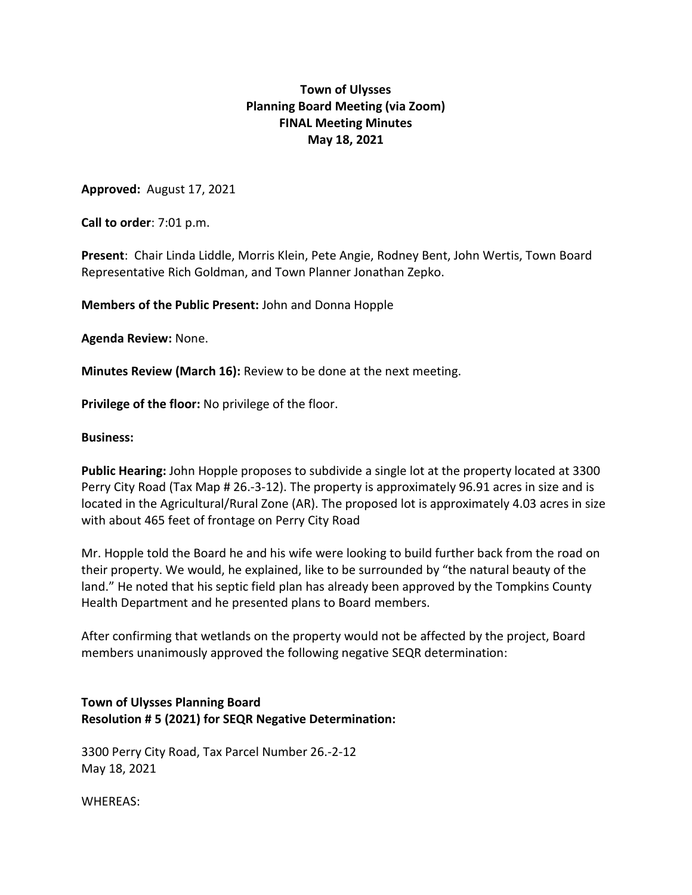# **Town of Ulysses Planning Board Meeting (via Zoom) FINAL Meeting Minutes May 18, 2021**

**Approved:** August 17, 2021

**Call to order**: 7:01 p.m.

**Present**: Chair Linda Liddle, Morris Klein, Pete Angie, Rodney Bent, John Wertis, Town Board Representative Rich Goldman, and Town Planner Jonathan Zepko.

**Members of the Public Present:** John and Donna Hopple

**Agenda Review:** None.

**Minutes Review (March 16):** Review to be done at the next meeting.

**Privilege of the floor:** No privilege of the floor.

#### **Business:**

**Public Hearing:** John Hopple proposes to subdivide a single lot at the property located at 3300 Perry City Road (Tax Map # 26.-3-12). The property is approximately 96.91 acres in size and is located in the Agricultural/Rural Zone (AR). The proposed lot is approximately 4.03 acres in size with about 465 feet of frontage on Perry City Road

Mr. Hopple told the Board he and his wife were looking to build further back from the road on their property. We would, he explained, like to be surrounded by "the natural beauty of the land." He noted that his septic field plan has already been approved by the Tompkins County Health Department and he presented plans to Board members.

After confirming that wetlands on the property would not be affected by the project, Board members unanimously approved the following negative SEQR determination:

### **Town of Ulysses Planning Board Resolution # 5 (2021) for SEQR Negative Determination:**

3300 Perry City Road, Tax Parcel Number 26.-2-12 May 18, 2021

WHEREAS: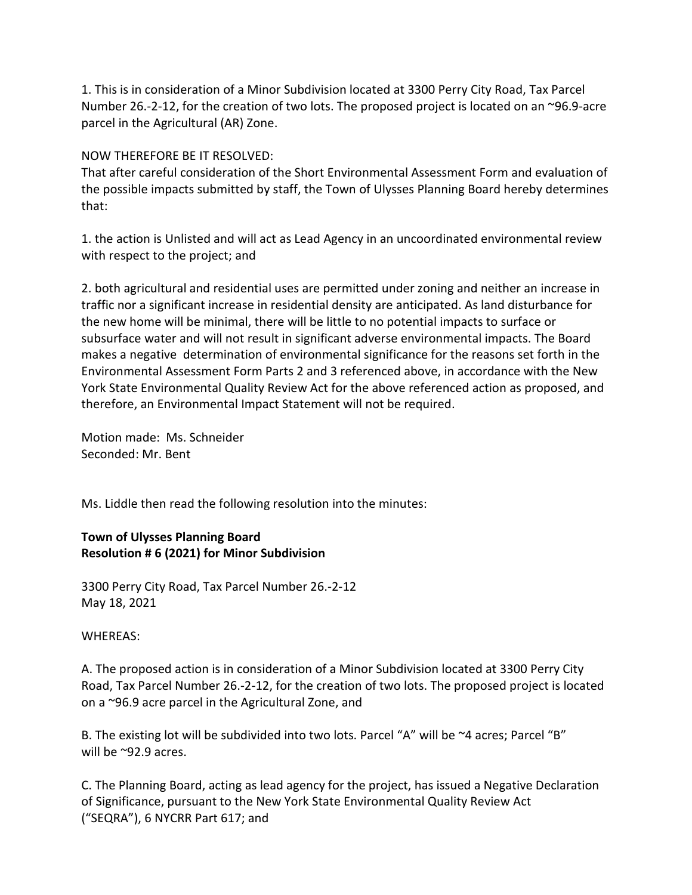1. This is in consideration of a Minor Subdivision located at 3300 Perry City Road, Tax Parcel Number 26.-2-12, for the creation of two lots. The proposed project is located on an ~96.9-acre parcel in the Agricultural (AR) Zone.

### NOW THEREFORE BE IT RESOLVED:

That after careful consideration of the Short Environmental Assessment Form and evaluation of the possible impacts submitted by staff, the Town of Ulysses Planning Board hereby determines that:

1. the action is Unlisted and will act as Lead Agency in an uncoordinated environmental review with respect to the project; and

2. both agricultural and residential uses are permitted under zoning and neither an increase in traffic nor a significant increase in residential density are anticipated. As land disturbance for the new home will be minimal, there will be little to no potential impacts to surface or subsurface water and will not result in significant adverse environmental impacts. The Board makes a negative determination of environmental significance for the reasons set forth in the Environmental Assessment Form Parts 2 and 3 referenced above, in accordance with the New York State Environmental Quality Review Act for the above referenced action as proposed, and therefore, an Environmental Impact Statement will not be required.

Motion made: Ms. Schneider Seconded: Mr. Bent

Ms. Liddle then read the following resolution into the minutes:

## **Town of Ulysses Planning Board Resolution # 6 (2021) for Minor Subdivision**

3300 Perry City Road, Tax Parcel Number 26.-2-12 May 18, 2021

WHEREAS:

A. The proposed action is in consideration of a Minor Subdivision located at 3300 Perry City Road, Tax Parcel Number 26.-2-12, for the creation of two lots. The proposed project is located on a ~96.9 acre parcel in the Agricultural Zone, and

B. The existing lot will be subdivided into two lots. Parcel "A" will be ~4 acres; Parcel "B" will be ~92.9 acres.

C. The Planning Board, acting as lead agency for the project, has issued a Negative Declaration of Significance, pursuant to the New York State Environmental Quality Review Act ("SEQRA"), 6 NYCRR Part 617; and